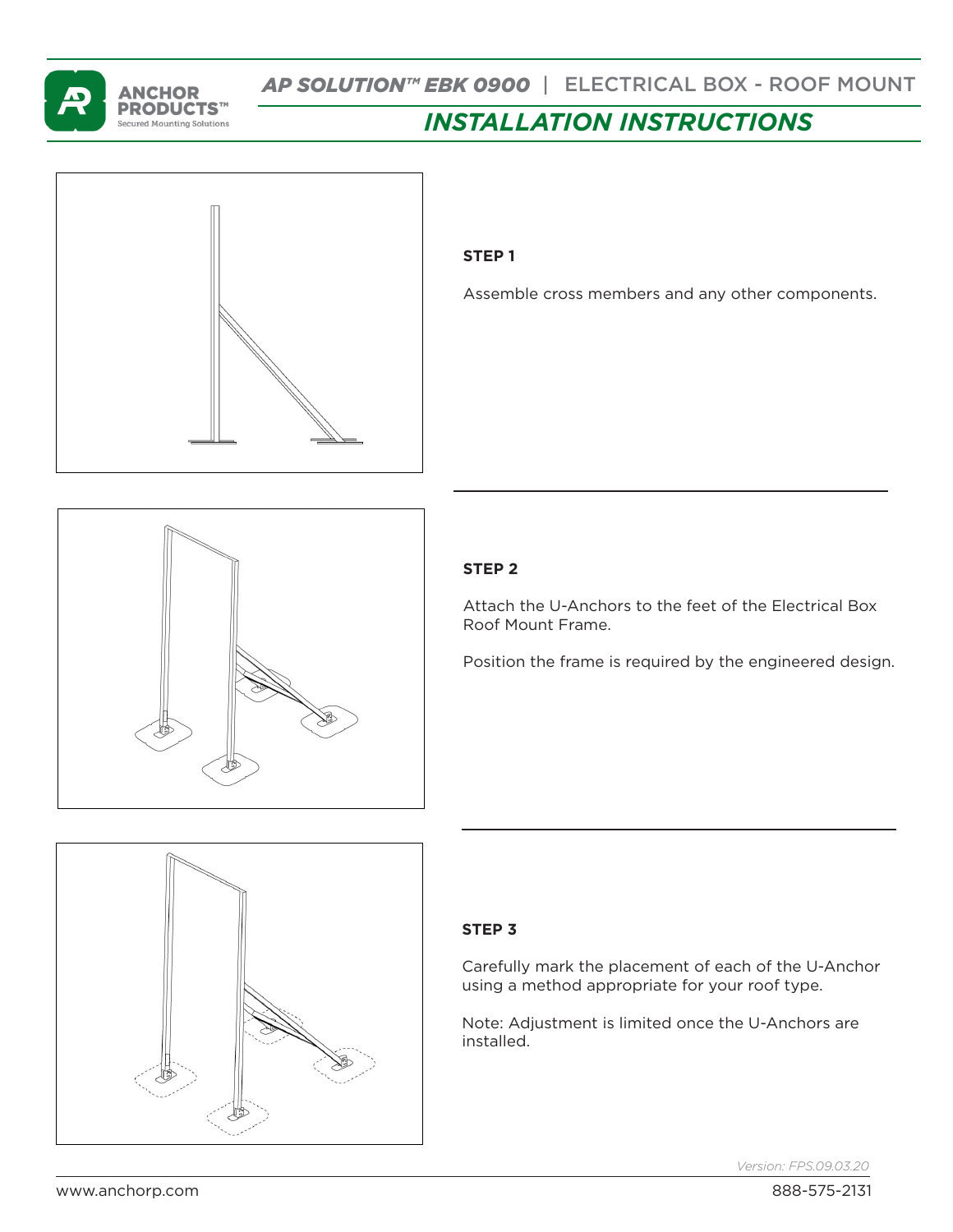

# *INSTALLATION INSTRUCTIONS*



## **STEP 1**

Assemble cross members and any other components.



# **STEP 2**

Attach the U-Anchors to the feet of the Electrical Box Roof Mount Frame.

Position the frame is required by the engineered design.



#### **STEP 3**

Carefully mark the placement of each of the U-Anchor using a method appropriate for your roof type.

Note: Adjustment is limited once the U-Anchors are installed.

*Version: FPS.09.03.20*